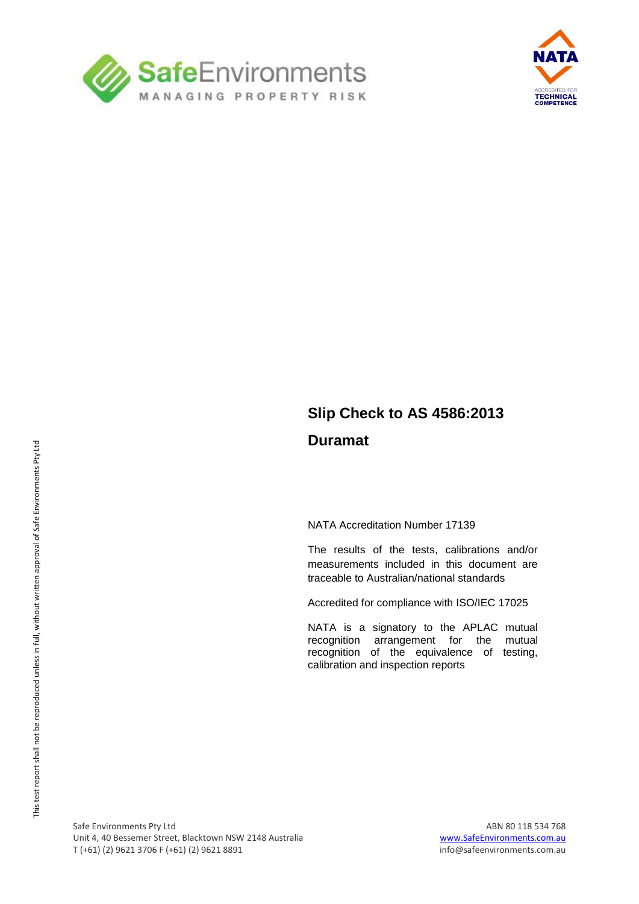



## **Slip Check to AS 4586:2013 Duramat**

NATA Accreditation Number 17139

The results of the tests, calibrations and/or measurements included in this document are traceable to Australian/national standards

Accredited for compliance with ISO/IEC 17025

NATA is a signatory to the APLAC mutual recognition arrangement for the mutual recognition of the equivalence of testing, calibration and inspection reports

Safe Environments Pty Ltd<br>Unit 4, 40 Bessemer Street, Blacktown NSW 2148 Australia Maria Maria Music Computer of the Street, and Unit 4, 40 Bessemer Street, Blacktown NSW 2148 Australia T (+61) (2) 9621 3706 F (+61) (2) 9621 8891 info@safeenvironments.com.au